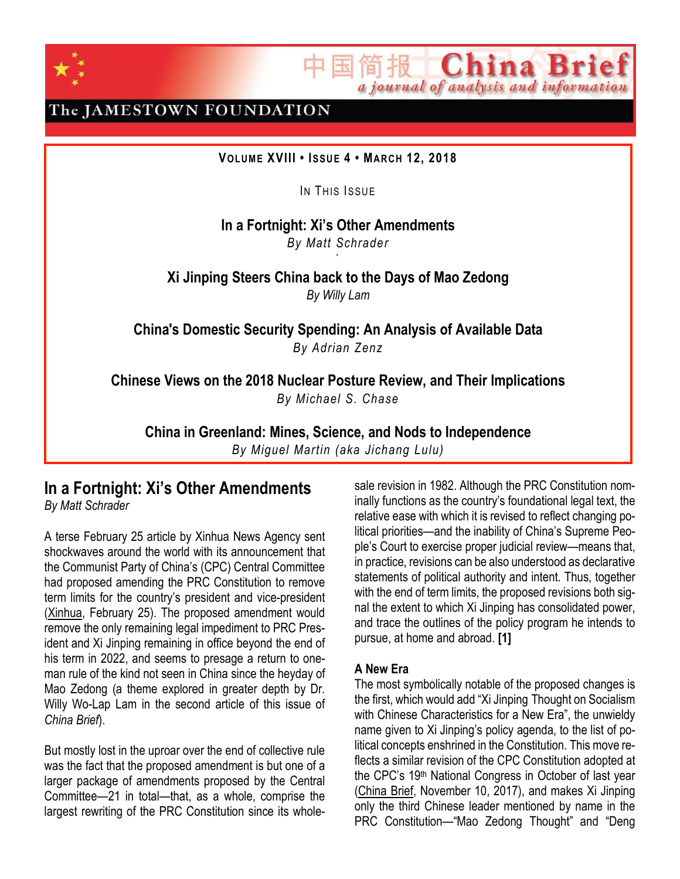

The JAMESTOWN FOUNDATION

**VOLUME XVIII • ISSU E 4 • MAR CH 12, 2018**

IN THIS ISSUE

**In a Fortnight: Xi's Other Amendments** *By Matt Schrader*

`

**Xi Jinping Steers China back to the Days of Mao Zedong** *By Willy Lam*

**China's Domestic Security Spending: An Analysis of Available Data** *By Adrian Zenz*

**Chinese Views on the 2018 Nuclear Posture Review, and Their Implications** *By Michael S. Chase*

**China in Greenland: Mines, Science, and Nods to Independence**

*By Miguel Martin (aka Jichang Lulu)*

#### **In a Fortnight: Xi's Other Amendments** *By Matt Schrader*

A terse February 25 article by Xinhua News Agency sent shockwaves around the world with its announcement that the Communist Party of China's (CPC) Central Committee had proposed amending the PRC Constitution to remove term limits for the country's president and vice-president [\(Xinhua,](http://www.xinhuanet.com/english/2018-02/25/c_136998770.htm) February 25). The proposed amendment would remove the only remaining legal impediment to PRC President and Xi Jinping remaining in office beyond the end of his term in 2022, and seems to presage a return to oneman rule of the kind not seen in China since the heyday of Mao Zedong (a theme explored in greater depth by Dr. Willy Wo-Lap Lam in the second article of this issue of *China Brief*).

But mostly lost in the uproar over the end of collective rule was the fact that the proposed amendment is but one of a larger package of amendments proposed by the Central Committee—21 in total—that, as a whole, comprise the largest rewriting of the PRC Constitution since its whole-

sale revision in 1982. Although the PRC Constitution nominally functions as the country's foundational legal text, the relative ease with which it is revised to reflect changing political priorities—and the inability of China's Supreme People's Court to exercise proper judicial review—means that, in practice, revisions can be also understood as declarative statements of political authority and intent. Thus, together with the end of term limits, the proposed revisions both signal the extent to which Xi Jinping has consolidated power, and trace the outlines of the policy program he intends to pursue, at home and abroad. **[1]**

简报 **China Bri** 

a journal of analysis and information

#### **A New Era**

The most symbolically notable of the proposed changes is the first, which would add "Xi [Jinping](http://search.news.cn/language/search.jspa?id=en&t=1&t1=0&ss=&ct=&n1=Xi+Jinping) Thought on Socialism with Chinese Characteristics for a New Era", the unwieldy name given to Xi Jinping's policy agenda, to the list of political concepts enshrined in the Constitution. This move reflects a similar revision of the CPC Constitution adopted at the CPC's 19th National Congress in October of last year [\(China](https://jamestown.org/program/ccp-revises-constitution-new-era/) Brief, November 10, 2017), and makes Xi Jinping only the third Chinese leader mentioned by name in the PRC Constitution—"Mao Zedong Thought" and "Deng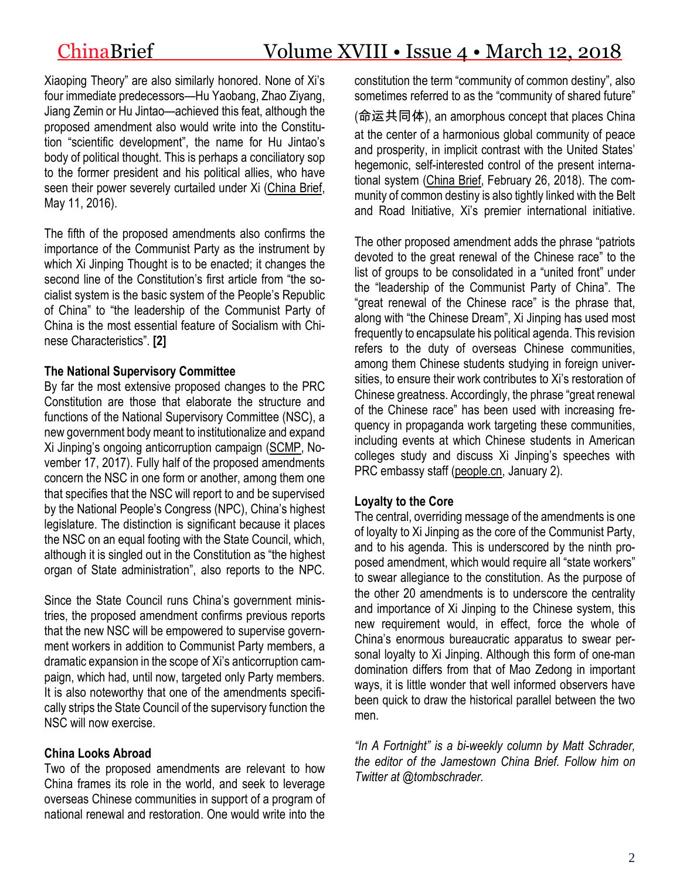Xiaoping Theory" are also similarly honored. None of Xi's four immediate predecessors—Hu Yaobang, Zhao Ziyang, Jiang Zemin or Hu Jintao—achieved this feat, although the proposed amendment also would write into the Constitution "scientific development", the name for Hu Jintao's body of political thought. This is perhaps a conciliatory sop to the former president and his political allies, who have seen their power severely curtailed under Xi [\(China](https://jamestown.org/program/the-eclipse-of-the-communist-youth-league-and-the-rise-of-the-zhejiang-clique/) Brief, May 11, 2016).

The fifth of the proposed amendments also confirms the importance of the Communist Party as the instrument by which Xi Jinping Thought is to be enacted; it changes the second line of the Constitution's first article from "the socialist system is the basic system of the People's Republic of China" to "the leadership of the Communist Party of China is the most essential feature of Socialism with Chinese Characteristics". **[2]**

## **The National Supervisory Committee**

By far the most extensive proposed changes to the PRC Constitution are those that elaborate the structure and functions of the National Supervisory Committee (NSC), a new government body meant to institutionalize and expand Xi Jinping's ongoing anticorruption campaign [\(SCMP,](http://www.scmp.com/news/china/policies-politics/article/2120175/how-chinas-new-anti-graft-super-body-will-work-and-why) November 17, 2017). Fully half of the proposed amendments concern the NSC in one form or another, among them one that specifies that the NSC will report to and be supervised by the National People's Congress (NPC), China's highest legislature. The distinction is significant because it places the NSC on an equal footing with the State Council, which, although it is singled out in the Constitution as "the highest organ of State administration", also reports to the NPC.

Since the State Council runs China's government ministries, the proposed amendment confirms previous reports that the new NSC will be empowered to supervise government workers in addition to Communist Party members, a dramatic expansion in the scope of Xi's anticorruption campaign, which had, until now, targeted only Party members. It is also noteworthy that one of the amendments specifically strips the State Council of the supervisory function the NSC will now exercise.

# **China Looks Abroad**

Two of the proposed amendments are relevant to how China frames its role in the world, and seek to leverage overseas Chinese communities in support of a program of national renewal and restoration. One would write into the

constitution the term "community of common destiny", also sometimes referred to as the "community of shared future"

(命运共同体), an amorphous concept that places China at the center of a harmonious global community of peace and prosperity, in implicit contrast with the United States' hegemonic, self-interested control of the present international system [\(China](https://jamestown.org/program/beijings-vision-reshaped-international-order/) Brief, February 26, 2018). The community of common destiny is also tightly linked with the Belt and Road Initiative, Xi's premier international initiative.

The other proposed amendment adds the phrase "patriots devoted to the great renewal of the Chinese race" to the list of groups to be consolidated in a "united front" under the "leadership of the Communist Party of China". The "great renewal of the Chinese race" is the phrase that, along with "the Chinese Dream", Xi Jinping has used most frequently to encapsulate his political agenda. This revision refers to the duty of overseas Chinese communities, among them Chinese students studying in foreign universities, to ensure their work contributes to Xi's restoration of Chinese greatness. Accordingly, the phrase "great renewal of the Chinese race" has been used with increasing frequency in propaganda work targeting these communities, including events at which Chinese students in American colleges study and discuss Xi Jinping's speeches with PRC embassy staff [\(people.cn,](http://world.people.com.cn/n1/2018/0102/c1002-29739315-6.html) January 2).

# **Loyalty to the Core**

The central, overriding message of the amendments is one of loyalty to Xi Jinping as the core of the Communist Party, and to his agenda. This is underscored by the ninth proposed amendment, which would require all "state workers" to swear allegiance to the constitution. As the purpose of the other 20 amendments is to underscore the centrality and importance of Xi Jinping to the Chinese system, this new requirement would, in effect, force the whole of China's enormous bureaucratic apparatus to swear personal loyalty to Xi Jinping. Although this form of one-man domination differs from that of Mao Zedong in important ways, it is little wonder that well informed observers have been quick to draw the historical parallel between the two men.

*"In A Fortnight" is a bi-weekly column by Matt Schrader, the editor of the Jamestown China Brief. Follow him on Twitter at @tombschrader.*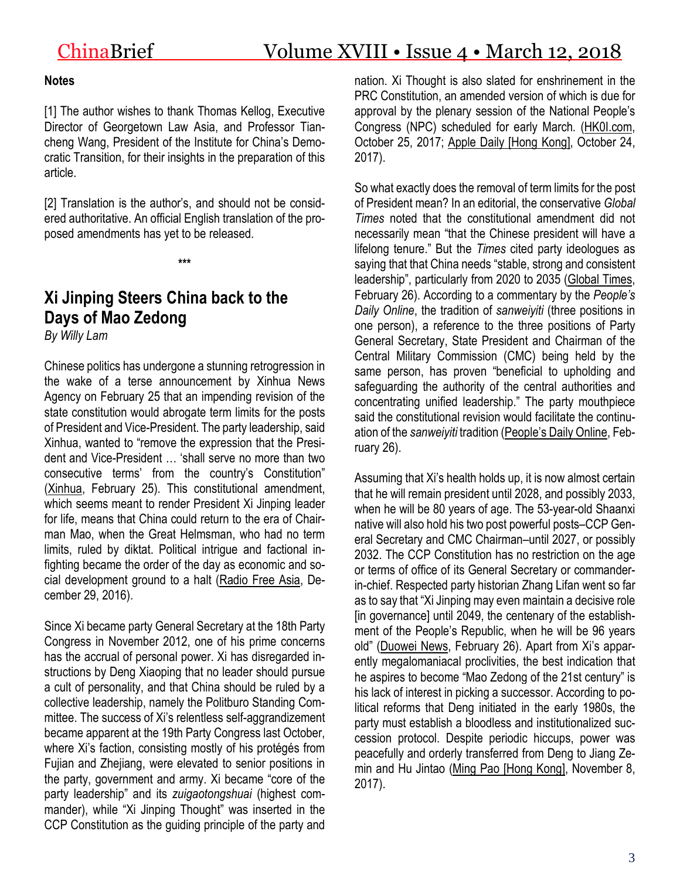#### **Notes**

[1] The author wishes to thank Thomas Kellog, Executive Director of Georgetown Law Asia, and Professor Tiancheng Wang, President of the Institute for China's Democratic Transition, for their insights in the preparation of this article.

[2] Translation is the author's, and should not be considered authoritative. An official English translation of the proposed amendments has yet to be released.

**\*\*\***

# **Xi Jinping Steers China back to the Days of Mao Zedong**

*By Willy Lam*

Chinese politics has undergone a stunning retrogression in the wake of a terse announcement by Xinhua News Agency on February 25 that an impending revision of the state constitution would abrogate term limits for the posts of President and Vice-President. The party leadership, said Xinhua, wanted to "remove the expression that the President and Vice-President … 'shall serve no more than two consecutive terms' from the country's Constitution" [\(Xinhua,](http://www.xinhuanet.com/english/2018-02/25/c_136998770.htm) February 25). This constitutional amendment, which seems meant to render President Xi Jinping leader for life, means that China could return to the era of Chairman Mao, when the Great Helmsman, who had no term limits, ruled by diktat. Political intrigue and factional infighting became the order of the day as economic and social development ground to a halt [\(Radio](https://www.rfa.org/mandarin/zhuanlan/yehuazhongnanhai/gx-12292016133942.html) Free Asia, December 29, 2016).

Since Xi became party General Secretary at the 18th Party Congress in November 2012, one of his prime concerns has the accrual of personal power. Xi has disregarded instructions by Deng Xiaoping that no leader should pursue a cult of personality, and that China should be ruled by a collective leadership, namely the Politburo Standing Committee. The success of Xi's relentless self-aggrandizement became apparent at the 19th Party Congress last October, where Xi's faction, consisting mostly of his protégés from Fujian and Zhejiang, were elevated to senior positions in the party, government and army. Xi became "core of the party leadership" and its *zuigaotongshuai* (highest commander), while "Xi Jinping Thought" was inserted in the CCP Constitution as the guiding principle of the party and nation. Xi Thought is also slated for enshrinement in the PRC Constitution, an amended version of which is due for approval by the plenary session of the National People's Congress (NPC) scheduled for early March. [\(HK0I.com,](https://www.hk01.com/%E5%85%A9%E5%B2%B8/128336/-%E5%8D%81%E4%B9%9D%E5%A4%A7-%E5%B8%B8%E5%A7%94%E6%8F%AD%E7%9B%85-%E8%A7%A3%E7%A2%BC%E6%94%BF%E6%B2%BB%E5%B1%80%E4%B8%83%E5%B8%B8%E5%A7%94-%E7%BF%92%E8%BF%91%E5%B9%B3%E6%99%82%E4%BB%A3%E7%9A%84%E6%9C%80%E9%AB%98%E6%AC%8A%E5%8A%9B%E5%B1%A4) October 25, 2017; Apple Daily [Hong [Kong\],](https://hk.news.appledaily.com/china/realtime/article/20171024/57370370) October 24, 2017).

So what exactly does the removal of term limits for the post of President mean? In an editorial, the conservative *Global Times* noted that the constitutional amendment did not necessarily mean "that the Chinese president will have a lifelong tenure." But the *Times* cited party ideologues as saying that that China needs "stable, strong and consistent leadership", particularly from 2020 to 2035 [\(Global](http://www.xgll.com.cn/xwzx/2018-02/26/content_319923.htm) Times, February 26). According to a commentary by the *People's Daily Online*, the tradition of *sanweiyiti* (three positions in one person), a reference to the three positions of Party General Secretary, State President and Chairman of the Central Military Commission (CMC) being held by the same person, has proven "beneficial to upholding and safeguarding the authority of the central authorities and concentrating unified leadership." The party mouthpiece said the constitutional revision would facilitate the continuation of the *sanweiyiti* tradition ([People's](https://baijiahao.baidu.com/s?id=1593453763534225293&wfr=spider&for=pc) Daily Online, February 26).

Assuming that Xi's health holds up, it is now almost certain that he will remain president until 2028, and possibly 2033, when he will be 80 years of age. The 53-year-old Shaanxi native will also hold his two post powerful posts–CCP General Secretary and CMC Chairman–until 2027, or possibly 2032. The CCP Constitution has no restriction on the age or terms of office of its General Secretary or commanderin-chief. Respected party historian Zhang Lifan went so far as to say that "Xi Jinping may even maintain a decisive role [in governance] until 2049, the centenary of the establishment of the People's Republic, when he will be 96 years old" [\(Duowei](http://news.dwnews.com/china/news/2018-02-26/60042406.html) News, February 26). Apart from Xi's apparently megalomaniacal proclivities, the best indication that he aspires to become "Mao Zedong of the 21st century" is his lack of interest in picking a successor. According to political reforms that Deng initiated in the early 1980s, the party must establish a bloodless and institutionalized succession protocol. Despite periodic hiccups, power was peacefully and orderly transferred from Deng to Jiang Zemin and Hu Jintao (Ming Pao [Hong [Kong\],](https://news.mingpao.com/pns/dailynews/web_tc/article/20171108/s00012/1510077733497) November 8, 2017).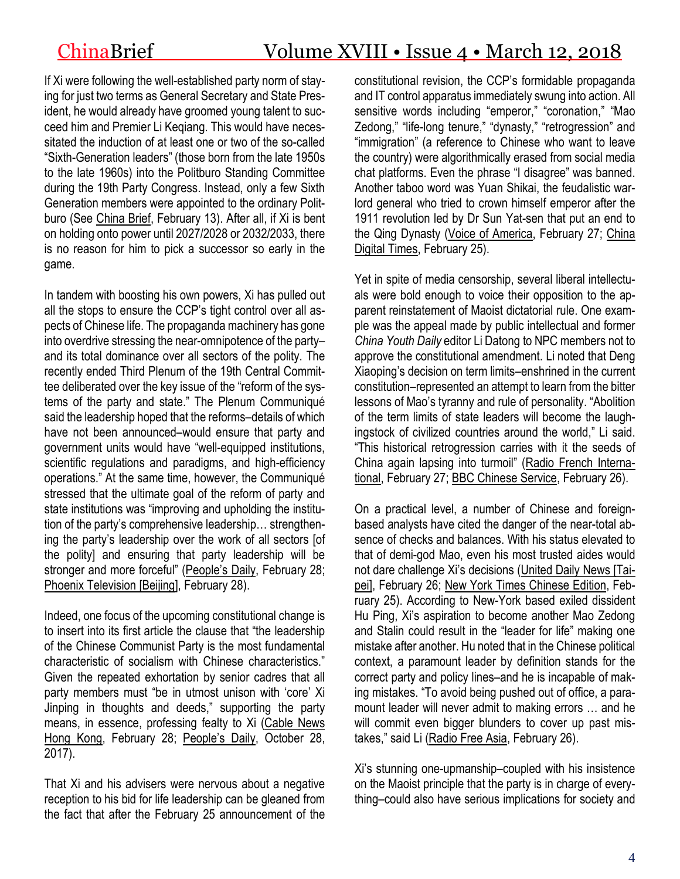If Xi were following the well-established party norm of staying for just two terms as General Secretary and State President, he would already have groomed young talent to succeed him and Premier Li Keqiang. This would have necessitated the induction of at least one or two of the so-called "Sixth-Generation leaders" (those born from the late 1950s to the late 1960s) into the Politburo Standing Committee during the 19th Party Congress. Instead, only a few Sixth Generation members were appointed to the ordinary Politburo (See [China](https://jamestown.org/program/xi-jinping-faction-dominates-regional-appointments-19th-party-congress/) Brief, February 13). After all, if Xi is bent on holding onto power until 2027/2028 or 2032/2033, there is no reason for him to pick a successor so early in the game.

In tandem with boosting his own powers, Xi has pulled out all the stops to ensure the CCP's tight control over all aspects of Chinese life. The propaganda machinery has gone into overdrive stressing the near-omnipotence of the party– and its total dominance over all sectors of the polity. The recently ended Third Plenum of the 19th Central Committee deliberated over the key issue of the "reform of the systems of the party and state." The Plenum Communiqué said the leadership hoped that the reforms–details of which have not been announced–would ensure that party and government units would have "well-equipped institutions, scientific regulations and paradigms, and high-efficiency operations." At the same time, however, the Communiqué stressed that the ultimate goal of the reform of party and state institutions was "improving and upholding the institution of the party's comprehensive leadership… strengthening the party's leadership over the work of all sectors [of the polity] and ensuring that party leadership will be stronger and more forceful" ([People's](http://cpc.people.com.cn/n1/2018/0228/c64094-29840241.html) Daily, February 28; Phoenix [Television](http://finance.ifeng.com/a/20180228/16002932_0.shtml) [Beijing], February 28).

Indeed, one focus of the upcoming constitutional change is to insert into its first article the clause that "the leadership of the Chinese Communist Party is the most fundamental characteristic of socialism with Chinese characteristics." Given the repeated exhortation by senior cadres that all party members must "be in utmost unison with 'core' Xi Jinping in thoughts and deeds," supporting the party means, in essence, professing fealty to Xi [\(Cable](https://www.facebook.com/cablechinadesk/videos/1651449514999528/) News Hong [Kong,](https://www.facebook.com/cablechinadesk/videos/1651449514999528/) February 28; [People's](http://cpc.people.com.cn/n1/2017/1028/c64102-29614113.html) Daily, October 28, 2017).

That Xi and his advisers were nervous about a negative reception to his bid for life leadership can be gleaned from the fact that after the February 25 announcement of the constitutional revision, the CCP's formidable propaganda and IT control apparatus immediately swung into action. All sensitive words including "emperor," "coronation," "Mao Zedong," "life-long tenure," "dynasty," "retrogression" and "immigration" (a reference to Chinese who want to leave the country) were algorithmically erased from social media chat platforms. Even the phrase "I disagree" was banned. Another taboo word was Yuan Shikai, the feudalistic warlord general who tried to crown himself emperor after the 1911 revolution led by Dr Sun Yat-sen that put an end to the Qing Dynasty (Voice of [America,](https://www.voanews.com/a/china-social-media-xi-presidental-term-limit/4272371.html) February 27; [China](https://chinadigitaltimes.net/chinese/2018/02/%E3%80%90%E6%95%8F%E6%84%9F%E8%AF%8D%E5%BA%93%E3%80%91%E5%90%BE%E7%9A%87%E4%B8%87%E5%B2%81%E5%8A%9D%E8%BF%9B%E7%99%BB%E5%9F%BA%E7%AD%89%E4%B9%A0/) Digital [Times,](https://chinadigitaltimes.net/chinese/2018/02/%E3%80%90%E6%95%8F%E6%84%9F%E8%AF%8D%E5%BA%93%E3%80%91%E5%90%BE%E7%9A%87%E4%B8%87%E5%B2%81%E5%8A%9D%E8%BF%9B%E7%99%BB%E5%9F%BA%E7%AD%89%E4%B9%A0/) February 25).

Yet in spite of media censorship, several liberal intellectuals were bold enough to voice their opposition to the apparent reinstatement of Maoist dictatorial rule. One example was the appeal made by public intellectual and former *China Youth Daily* editor Li Datong to NPC members not to approve the constitutional amendment. Li noted that Deng Xiaoping's decision on term limits–enshrined in the current constitution–represented an attempt to learn from the bitter lessons of Mao's tyranny and rule of personality. "Abolition of the term limits of state leaders will become the laughingstock of civilized countries around the world," Li said. "This historical retrogression carries with it the seeds of China again lapsing into turmoil" (Radio French [Interna](http://cn.rfi.fr/%E4%B8%AD%E5%9B%BD/20180227-%E5%85%9A%E4%B8%AD%E5%A4%AE%E6%8F%90%E4%BF%AE%E5%AE%AA%E6%B0%91%E4%BC%97%E4%B8%8D%E4%B9%B0%E8%B4%A6%E7%BD%91%E7%AE%A1%E5%BF%99%E5%88%A0%E5%B8%96)[tional,](http://cn.rfi.fr/%E4%B8%AD%E5%9B%BD/20180227-%E5%85%9A%E4%B8%AD%E5%A4%AE%E6%8F%90%E4%BF%AE%E5%AE%AA%E6%B0%91%E4%BC%97%E4%B8%8D%E4%B9%B0%E8%B4%A6%E7%BD%91%E7%AE%A1%E5%BF%99%E5%88%A0%E5%B8%96) February 27; BBC [Chinese](http://www.bbc.com/zhongwen/simp/chinese-news-43209195) Service, February 26).

On a practical level, a number of Chinese and foreignbased analysts have cited the danger of the near-total absence of checks and balances. With his status elevated to that of demi-god Mao, even his most trusted aides would not dare challenge Xi's decisions [\(United](https://udn.com/news/story/11323/3000621) Daily News [Tai-peil, February 26; New York Times [Chinese](https://cn.nytimes.com/china/20180225/china-xi-jinping/) Edition, February 25). According to New-York based exiled dissident Hu Ping, Xi's aspiration to become another Mao Zedong and Stalin could result in the "leader for life" making one mistake after another. Hu noted that in the Chinese political context, a paramount leader by definition stands for the correct party and policy lines–and he is incapable of making mistakes. "To avoid being pushed out of office, a paramount leader will never admit to making errors … and he will commit even bigger blunders to cover up past mistakes," said Li [\(Radio](https://www.rfa.org/mandarin/pinglun/huping/hp-02262018103255.html) Free Asia, February 26).

Xi's stunning one-upmanship–coupled with his insistence on the Maoist principle that the party is in charge of everything–could also have serious implications for society and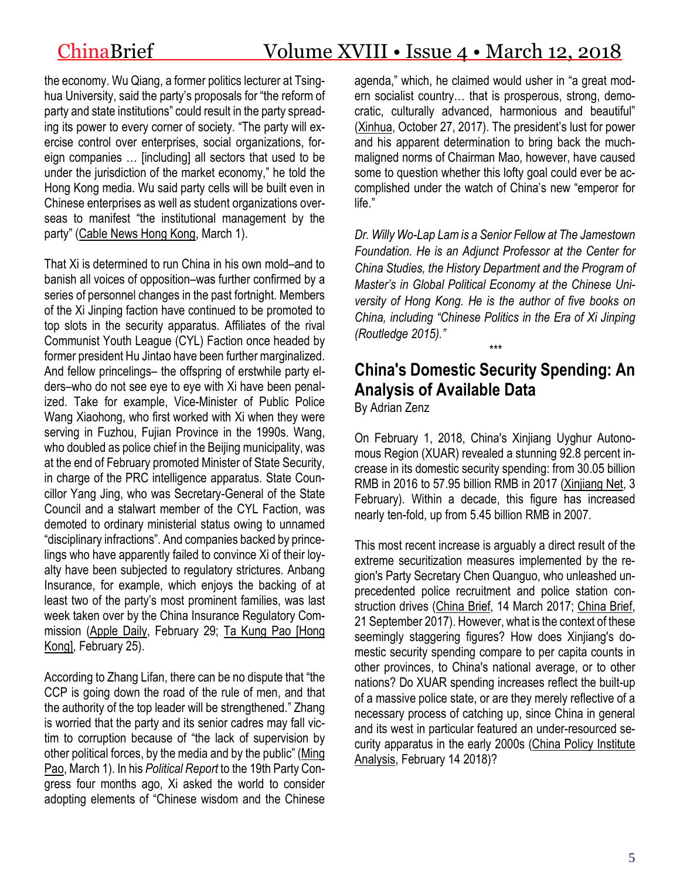the economy. Wu Qiang, a former politics lecturer at Tsinghua University, said the party's proposals for "the reform of party and state institutions" could result in the party spreading its power to every corner of society. "The party will exercise control over enterprises, social organizations, foreign companies … [including] all sectors that used to be under the jurisdiction of the market economy," he told the Hong Kong media. Wu said party cells will be built even in Chinese enterprises as well as student organizations overseas to manifest "the institutional management by the party" [\(Cable](https://www.facebook.com/cablechinadesk/videos/1651449514999528/) News Hong Kong, March 1).

That Xi is determined to run China in his own mold–and to banish all voices of opposition–was further confirmed by a series of personnel changes in the past fortnight. Members of the Xi Jinping faction have continued to be promoted to top slots in the security apparatus. Affiliates of the rival Communist Youth League (CYL) Faction once headed by former president Hu Jintao have been further marginalized. And fellow princelings– the offspring of erstwhile party elders–who do not see eye to eye with Xi have been penalized. Take for example, Vice-Minister of Public Police Wang Xiaohong, who first worked with Xi when they were serving in Fuzhou, Fujian Province in the 1990s. Wang, who doubled as police chief in the Beijing municipality, was at the end of February promoted Minister of State Security, in charge of the PRC intelligence apparatus. State Councillor Yang Jing, who was Secretary-General of the State Council and a stalwart member of the CYL Faction, was demoted to ordinary ministerial status owing to unnamed "disciplinary infractions". And companies backed by princelings who have apparently failed to convince Xi of their loyalty have been subjected to regulatory strictures. Anbang Insurance, for example, which enjoys the backing of at least two of the party's most prominent families, was last week taken over by the China Insurance Regulatory Commission [\(Apple](https://tw.news.appledaily.com/new/realtime/20180228/1305823/) Daily, February 29; Ta Kung Pao [\[Hong](http://news.takungpao.com/mainland/focus/2018-02/3545656.html) [Kong\],](http://news.takungpao.com/mainland/focus/2018-02/3545656.html) February 25).

According to Zhang Lifan, there can be no dispute that "the CCP is going down the road of the rule of men, and that the authority of the top leader will be strengthened." Zhang is worried that the party and its senior cadres may fall victim to corruption because of "the lack of supervision by other political forces, by the media and by the public" [\(Ming](http://premium.mingpao.com/cfm/Content_News.cfm?Channel=ca&Path=168505513355/caa2.cfm) [Pao,](http://premium.mingpao.com/cfm/Content_News.cfm?Channel=ca&Path=168505513355/caa2.cfm) March 1). In his *Political Report* to the 19th Party Congress four months ago, Xi asked the world to consider adopting elements of "Chinese wisdom and the Chinese

agenda," which, he claimed would usher in "a great modern socialist country… that is prosperous, strong, democratic, culturally advanced, harmonious and beautiful" [\(Xinhua,](http://www.guancha.cn/politics/2017_10_27_432557.shtml) October 27, 2017). The president's lust for power and his apparent determination to bring back the muchmaligned norms of Chairman Mao, however, have caused some to question whether this lofty goal could ever be accomplished under the watch of China's new "emperor for life."

*Dr. Willy Wo-Lap Lamis a Senior Fellow at The Jamestown Foundation. He is an Adjunct Professor at the Center for China Studies, the History Department and the Program of Master's in Global Political Economy at the Chinese University of Hong Kong. He is the author of five books on China, including "Chinese Politics in the Era of Xi Jinping (Routledge 2015)."*

# **China's Domestic Security Spending: An Analysis of Available Data**

*\*\*\**

By Adrian Zenz

On February 1, 2018, China's Xinjiang Uyghur Autonomous Region (XUAR) revealed a stunning 92.8 percent increase in its domestic security spending: from 30.05 billion RMB in 2016 to 57.95 billion RMB in 2017 [\(Xinjiang](http://www.xinjiangnet.com.cn/2018/0203/2044552.shtml) Net, 3 February). Within a decade, this figure has increased nearly ten-fold, up from 5.45 billion RMB in 2007.

This most recent increase is arguably a direct result of the extreme securitization measures implemented by the region's Party Secretary Chen Quanguo, who unleashed unprecedented police recruitment and police station construction drives [\(China](https://jamestown.org/program/xinjiangs-rapidly-evolving-security-state/) Brief, 14 March 2017; [China](https://jamestown.org/program/chen-quanguo-the-strongman-behind-beijings-securitization-strategy-in-tibet-and-xinjiang/) Brief, 21 September 2017). However, what is the context of these seemingly staggering figures? How does Xinjiang's domestic security spending compare to per capita counts in other provinces, to China's national average, or to other nations? Do XUAR spending increases reflect the built-up of a massive police state, or are they merely reflective of a necessary process of catching up, since China in general and its west in particular featured an under-resourced se-curity apparatus in the early 2000s (China Policy [Institute](https://cpianalysis.org/2018/02/14/chinas-securitization-drive-in-tibet-and-xinjiang/) [Analysis,](https://cpianalysis.org/2018/02/14/chinas-securitization-drive-in-tibet-and-xinjiang/) February 14 2018)?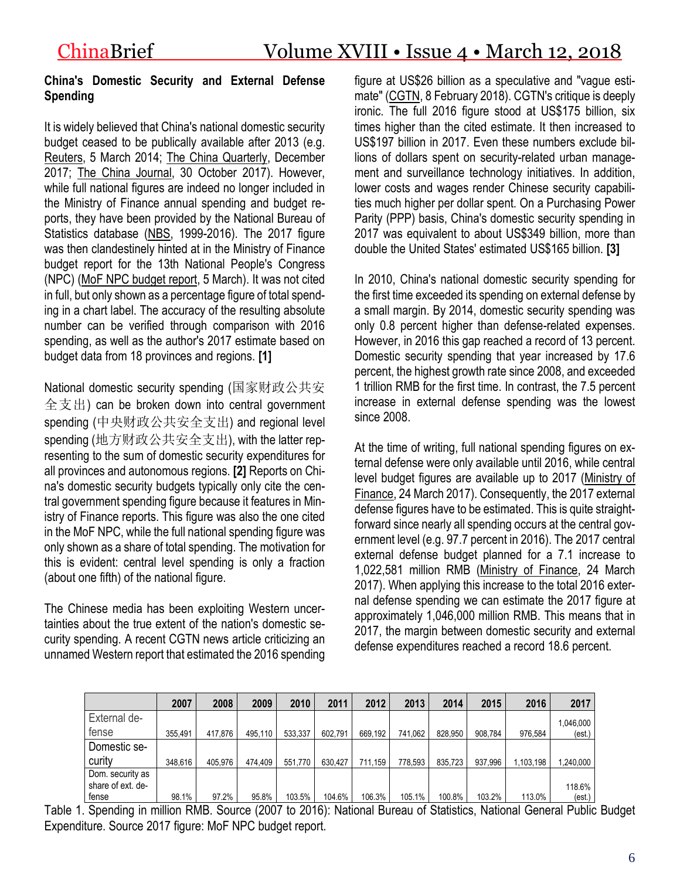### **China's Domestic Security and External Defense Spending**

It is widely believed that China's national domestic security budget ceased to be publically available after 2013 (e.g. [Reuters,](https://www.reuters.com/article/us-china-parliament-security/china-withholds-full-domestic-security-spending-figure) 5 March 2014; The China [Quarterly,](https://www.cambridge.org/core/journals/china-quarterly/article/rethinking-chinas-coercive-capacity-an-examination-of-prc-domestic-security-spending-19922012/FDC08F840E3479EDD5FE0BA1BEAA44A1) December 2017; The China [Journal,](https://static1.squarespace.com/static/51cb32a4e4b07cb3e84fc963/t/5a1822b9085229dccc570023/1511531194759/Fu_Distelhorst_ParticipationRepression_TCJ.pdf) 30 October 2017). However, while full national figures are indeed no longer included in the Ministry of Finance annual spending and budget reports, they have been provided by the National Bureau of Statistics database [\(NBS,](http://www.stats.gov.cn/) 1999-2016). The 2017 figure was then clandestinely hinted at in the Ministry of Finance budget report for the 13th National People's Congress (NPC) (MoF NPC [budget](http://online.wsj.com/public/resources/documents/NPC2018_Financial_Chinese.pdf) report, 5 March). It was not cited in full, but only shown as a percentage figure of total spending in a chart label. The accuracy of the resulting absolute number can be verified through comparison with 2016 spending, as well as the author's 2017 estimate based on budget data from 18 provinces and regions. **[1]**

National domestic security spending (国家财政公共安 全支出) can be broken down into central government spending (中央财政公共安全支出) and regional level spending (地方财政公共安全支出), with the latter representing to the sum of domestic security expenditures for all provinces and autonomous regions. **[2]** Reports on China's domestic security budgets typically only cite the central government spending figure because it features in Ministry of Finance reports. This figure was also the one cited in the MoF NPC, while the full national spending figure was only shown as a share of total spending. The motivation for this is evident: central level spending is only a fraction (about one fifth) of the national figure.

The Chinese media has been exploiting Western uncertainties about the true extent of the nation's domestic security spending. A recent CGTN news article criticizing an unnamed Western report that estimated the 2016 spending figure at US\$26 billion as a speculative and "vague estimate" [\(CGTN,](https://news.cgtn.com/news/3d516a4d356b4464776c6d636a4e6e62684a4856/share_p.html) 8 February 2018). CGTN's critique is deeply ironic. The full 2016 figure stood at US\$175 billion, six times higher than the cited estimate. It then increased to US\$197 billion in 2017. Even these numbers exclude billions of dollars spent on security-related urban management and surveillance technology initiatives. In addition, lower costs and wages render Chinese security capabilities much higher per dollar spent. On a Purchasing Power Parity (PPP) basis, China's domestic security spending in 2017 was equivalent to about US\$349 billion, more than double the United States' estimated US\$165 billion. **[3]**

In 2010, China's national domestic security spending for the first time exceeded its spending on external defense by a small margin. By 2014, domestic security spending was only 0.8 percent higher than defense-related expenses. However, in 2016 this gap reached a record of 13 percent. Domestic security spending that year increased by 17.6 percent, the highest growth rate since 2008, and exceeded 1 trillion RMB for the first time. In contrast, the 7.5 percent increase in external defense spending was the lowest since 2008.

At the time of writing, full national spending figures on external defense were only available until 2016, while central level budget figures are available up to 2017 [\(Ministry](http://yss.mof.gov.cn/2017zyys/201703/t20170324_2565759.html) of [Finance,](http://yss.mof.gov.cn/2017zyys/201703/t20170324_2565759.html) 24 March 2017). Consequently, the 2017 external defense figures have to be estimated. This is quite straightforward since nearly all spending occurs at the central government level (e.g. 97.7 percent in 2016). The 2017 central external defense budget planned for a 7.1 increase to 1,022,581 million RMB (Ministry of [Finance,](http://yss.mof.gov.cn/2017zyys/201703/t20170324_2565759.html) 24 March 2017). When applying this increase to the total 2016 external defense spending we can estimate the 2017 figure at approximately 1,046,000 million RMB. This means that in 2017, the margin between domestic security and external defense expenditures reached a record 18.6 percent.

|                   | 2007    | 2008    | 2009    | 2010    | 2011    | 2012    | 2013    | 2014    | 2015    | 2016      | 2017     |
|-------------------|---------|---------|---------|---------|---------|---------|---------|---------|---------|-----------|----------|
| External de-      |         |         |         |         |         |         |         |         |         |           | 046,000  |
| tense             | 355.491 | 417.876 | 495.110 | 533,337 | 602.791 | 669.192 | 741.062 | 828.950 | 908.784 | 976.584   | (est.)   |
| Domestic se-      |         |         |         |         |         |         |         |         |         |           |          |
| curity            | 348.616 | 405.976 | 474.409 | 551.770 | 630.427 | 711.159 | 778.593 | 835.723 | 937.996 | 1.103.198 | ,240,000 |
| Dom. security as  |         |         |         |         |         |         |         |         |         |           |          |
| share of ext. de- |         |         |         |         |         |         |         |         |         |           | 118.6%   |
| fense             | 98.1%   | 97.2%   | 95.8%   | 103.5%  | 104.6%  | 106.3%  | 105.1%  | 100.8%  | 103.2%  | 113.0%    | (est.)   |

Table 1. Spending in million RMB. Source (2007 to 2016): National Bureau of Statistics, National General Public Budget Expenditure. Source 2017 figure: MoF NPC budget report.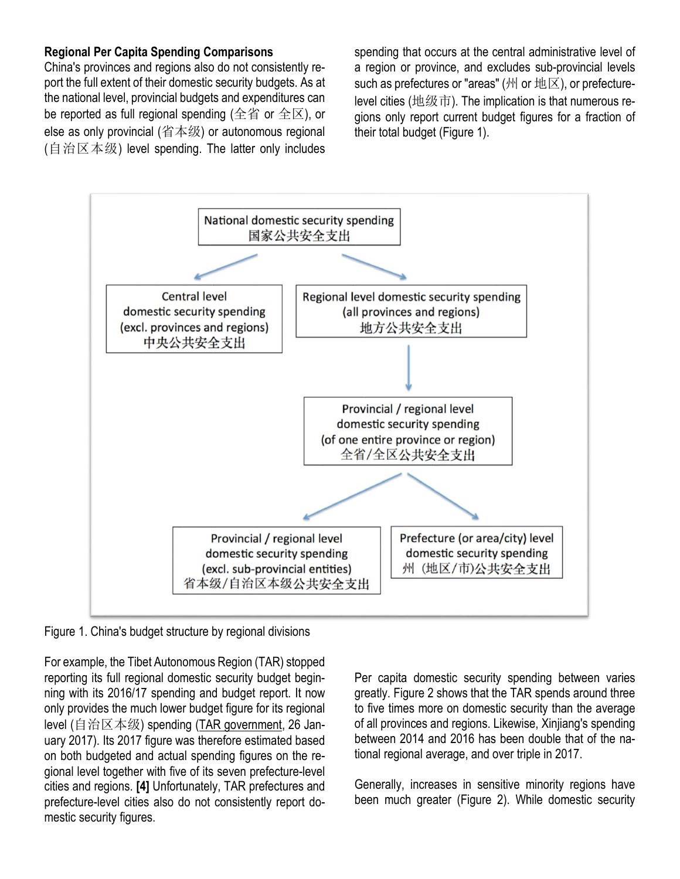### **Regional Per Capita Spending Comparisons**

China's provinces and regions also do not consistently report the full extent of their domestic security budgets. As at the national level, provincial budgets and expenditures can be reported as full regional spending (全省 or 全区), or else as only provincial (省本级) or autonomous regional (自治区本级) level spending. The latter only includes spending that occurs at the central administrative level of a region or province, and excludes sub-provincial levels such as prefectures or "areas" (州 or 地区), or prefecturelevel cities (地级市). The implication is that numerous regions only report current budget figures for a fraction of their total budget (Figure 1).



Figure 1. China's budget structure by regional divisions

For example, the Tibet Autonomous Region (TAR) stopped reporting its full regional domestic security budget beginning with its 2016/17 spending and budget report. It now only provides the much lower budget figure for its regional level (自治区本级) spending (TAR [government,](http://www.xizang.gov.cn/zwgk/xxgk/zdlyxxgk/sgjf/201701/t20170126_119310.html) 26 January 2017). Its 2017 figure was therefore estimated based on both budgeted and actual spending figures on the regional level together with five of its seven prefecture-level cities and regions. **[4]** Unfortunately, TAR prefectures and prefecture-level cities also do not consistently report domestic security figures.

Per capita domestic security spending between varies greatly. Figure 2 shows that the TAR spends around three to five times more on domestic security than the average of all provinces and regions. Likewise, Xinjiang's spending between 2014 and 2016 has been double that of the national regional average, and over triple in 2017.

Generally, increases in sensitive minority regions have been much greater (Figure 2). While domestic security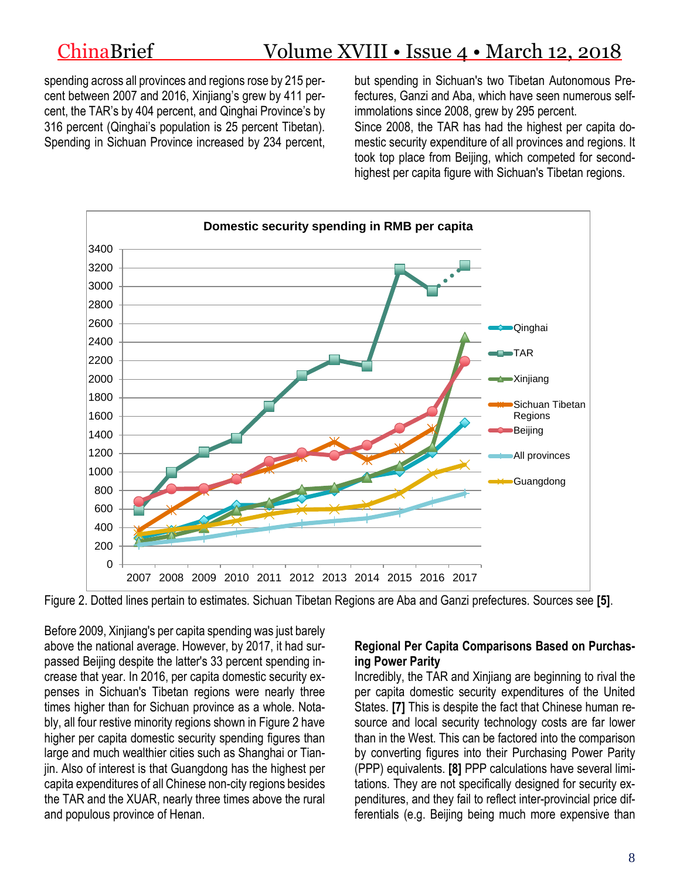# ChinaBrief Volume XVIII • Issue 4 • March 12, 2018

spending across all provinces and regions rose by 215 percent between 2007 and 2016, Xinjiang's grew by 411 percent, the TAR's by 404 percent, and Qinghai Province's by 316 percent (Qinghai's population is 25 percent Tibetan). Spending in Sichuan Province increased by 234 percent,

but spending in Sichuan's two Tibetan Autonomous Prefectures, Ganzi and Aba, which have seen numerous selfimmolations since 2008, grew by 295 percent. Since 2008, the TAR has had the highest per capita domestic security expenditure of all provinces and regions. It took top place from Beijing, which competed for secondhighest per capita figure with Sichuan's Tibetan regions.



Figure 2. Dotted lines pertain to estimates. Sichuan Tibetan Regions are Aba and Ganzi prefectures. Sources see **[5]**.

Before 2009, Xinjiang's per capita spending was just barely above the national average. However, by 2017, it had surpassed Beijing despite the latter's 33 percent spending increase that year. In 2016, per capita domestic security expenses in Sichuan's Tibetan regions were nearly three times higher than for Sichuan province as a whole. Notably, all four restive minority regions shown in Figure 2 have higher per capita domestic security spending figures than large and much wealthier cities such as Shanghai or Tianjin. Also of interest is that Guangdong has the highest per capita expenditures of all Chinese non-city regions besides the TAR and the XUAR, nearly three times above the rural and populous province of Henan.

#### **Regional Per Capita Comparisons Based on Purchasing Power Parity**

Incredibly, the TAR and Xinjiang are beginning to rival the per capita domestic security expenditures of the United States. **[7]** This is despite the fact that Chinese human resource and local security technology costs are far lower than in the West. This can be factored into the comparison by converting figures into their Purchasing Power Parity (PPP) equivalents. **[8]** PPP calculations have several limitations. They are not specifically designed for security expenditures, and they fail to reflect inter-provincial price differentials (e.g. Beijing being much more expensive than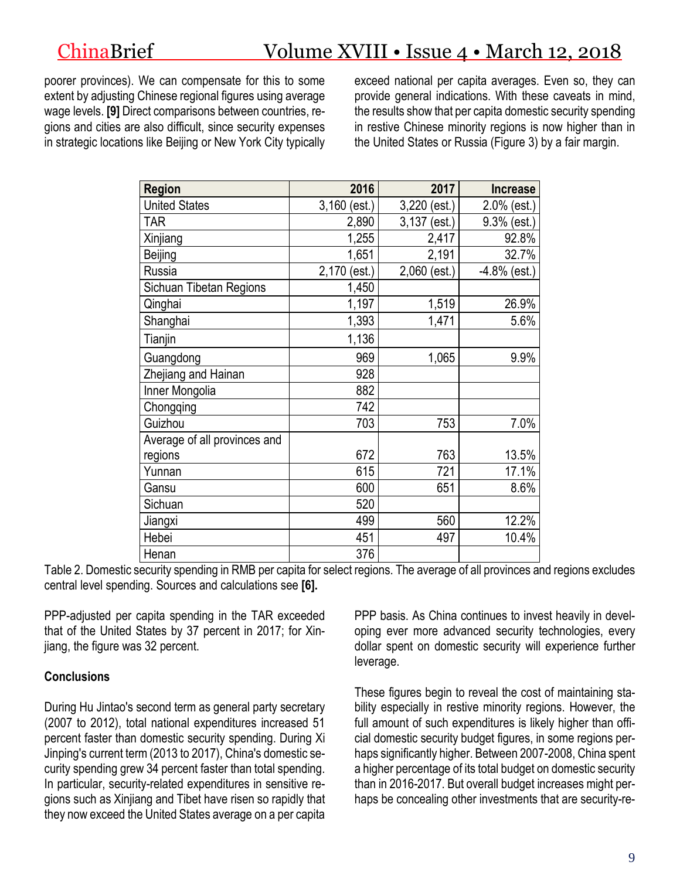# ChinaBrief Volume XVIII • Issue 4 • March 12, 2018

poorer provinces). We can compensate for this to some extent by adjusting Chinese regional figures using average wage levels. **[9]** Direct comparisons between countries, regions and cities are also difficult, since security expenses in strategic locations like Beijing or New York City typically exceed national per capita averages. Even so, they can provide general indications. With these caveats in mind, the results show that per capita domestic security spending in restive Chinese minority regions is now higher than in the United States or Russia (Figure 3) by a fair margin.

| <b>Region</b>                | 2016           | 2017           | <b>Increase</b> |
|------------------------------|----------------|----------------|-----------------|
| <b>United States</b>         | $3,160$ (est.) | $3,220$ (est.) | 2.0% (est.)     |
| <b>TAR</b>                   | 2,890          | 3,137 (est.)   | 9.3% (est.)     |
| Xinjiang                     | 1,255          | 2,417          | 92.8%           |
| Beijing                      | 1,651          | 2,191          | 32.7%           |
| Russia                       | 2,170 (est.)   | $2,060$ (est.) | -4.8% (est.)    |
| Sichuan Tibetan Regions      | 1,450          |                |                 |
| Qinghai                      | 1,197          | 1,519          | 26.9%           |
| Shanghai                     | 1,393          | 1,471          | 5.6%            |
| Tianjin                      | 1,136          |                |                 |
| Guangdong                    | 969            | 1,065          | 9.9%            |
| Zhejiang and Hainan          | 928            |                |                 |
| Inner Mongolia               | 882            |                |                 |
| Chongqing                    | 742            |                |                 |
| Guizhou                      | 703            | 753            | 7.0%            |
| Average of all provinces and |                |                |                 |
| regions                      | 672            | 763            | 13.5%           |
| Yunnan                       | 615            | 721            | 17.1%           |
| Gansu                        | 600            | 651            | 8.6%            |
| Sichuan                      | 520            |                |                 |
| Jiangxi                      | 499            | 560            | 12.2%           |
| Hebei                        | 451            | 497            | 10.4%           |
| Henan                        | 376            |                |                 |

Table 2. Domestic security spending in RMB per capita for select regions. The average of all provinces and regions excludes central level spending. Sources and calculations see **[6].**

PPP-adjusted per capita spending in the TAR exceeded that of the United States by 37 percent in 2017; for Xinjiang, the figure was 32 percent.

## **Conclusions**

During Hu Jintao's second term as general party secretary (2007 to 2012), total national expenditures increased 51 percent faster than domestic security spending. During Xi Jinping's current term (2013 to 2017), China's domestic security spending grew 34 percent faster than total spending. In particular, security-related expenditures in sensitive regions such as Xinjiang and Tibet have risen so rapidly that they now exceed the United States average on a per capita PPP basis. As China continues to invest heavily in developing ever more advanced security technologies, every dollar spent on domestic security will experience further leverage.

These figures begin to reveal the cost of maintaining stability especially in restive minority regions. However, the full amount of such expenditures is likely higher than official domestic security budget figures, in some regions perhaps significantly higher. Between 2007-2008, China spent a higher percentage of its total budget on domestic security than in 2016-2017. But overall budget increases might perhaps be concealing other investments that are security-re-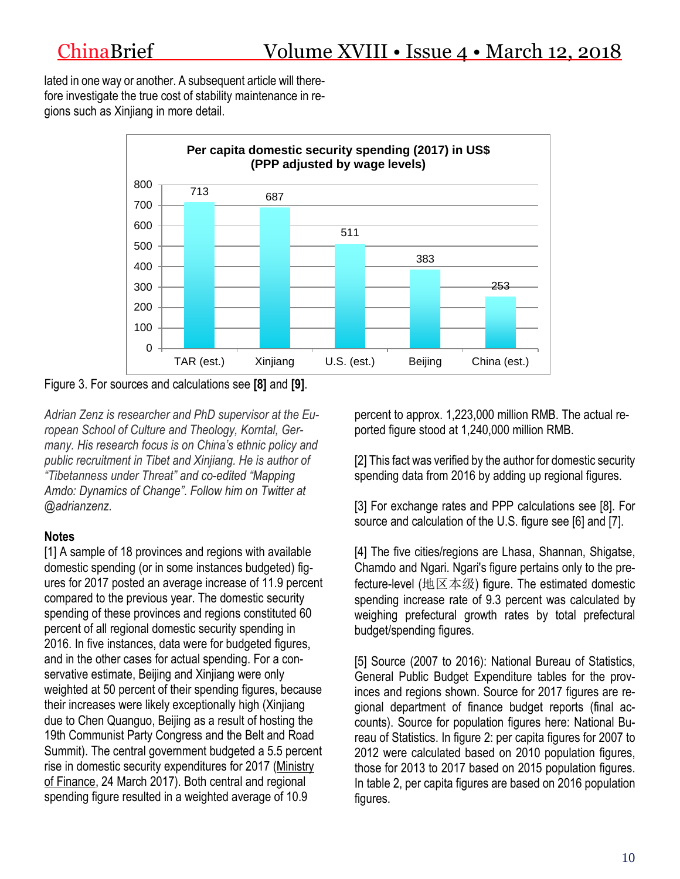lated in one way or another. A subsequent article will therefore investigate the true cost of stability maintenance in regions such as Xinjiang in more detail.



Figure 3. For sources and calculations see **[8]** and **[9]**.

*Adrian Zenz is researcher and PhD supervisor at the European School of Culture and Theology, Korntal, Germany. His research focus is on China's ethnic policy and public recruitment in Tibet and Xinjiang. He is author of "Tibetanness under Threat" and co-edited "Mapping Amdo: Dynamics of Change"*. *Follow him on Twitter at @adrianzenz.*

# **Notes**

[1] A sample of 18 provinces and regions with available domestic spending (or in some instances budgeted) figures for 2017 posted an average increase of 11.9 percent compared to the previous year. The domestic security spending of these provinces and regions constituted 60 percent of all regional domestic security spending in 2016. In five instances, data were for budgeted figures, and in the other cases for actual spending. For a conservative estimate, Beijing and Xinjiang were only weighted at 50 percent of their spending figures, because their increases were likely exceptionally high (Xinjiang due to Chen Quanguo, Beijing as a result of hosting the 19th Communist Party Congress and the Belt and Road Summit). The central government budgeted a 5.5 percent rise in domestic security expenditures for 2017 [\(Ministry](http://yss.mof.gov.cn/2017zyys/201703/t20170324_2565759.html) of [Finance,](http://yss.mof.gov.cn/2017zyys/201703/t20170324_2565759.html) 24 March 2017). Both central and regional spending figure resulted in a weighted average of 10.9

percent to approx. 1,223,000 million RMB. The actual reported figure stood at 1,240,000 million RMB.

[2] This fact was verified by the author for domestic security spending data from 2016 by adding up regional figures.

[3] For exchange rates and PPP calculations see [8]. For source and calculation of the U.S. figure see [6] and [7].

[4] The five cities/regions are Lhasa, Shannan, Shigatse, Chamdo and Ngari. Ngari's figure pertains only to the prefecture-level (地区本级) figure. The estimated domestic spending increase rate of 9.3 percent was calculated by weighing prefectural growth rates by total prefectural budget/spending figures.

[5] Source (2007 to 2016): National Bureau of Statistics, General Public Budget Expenditure tables for the provinces and regions shown. Source for 2017 figures are regional department of finance budget reports (final accounts). Source for population figures here: National Bureau of Statistics. In figure 2: per capita figures for 2007 to 2012 were calculated based on 2010 population figures. those for 2013 to 2017 based on 2015 population figures. In table 2, per capita figures are based on 2016 population figures.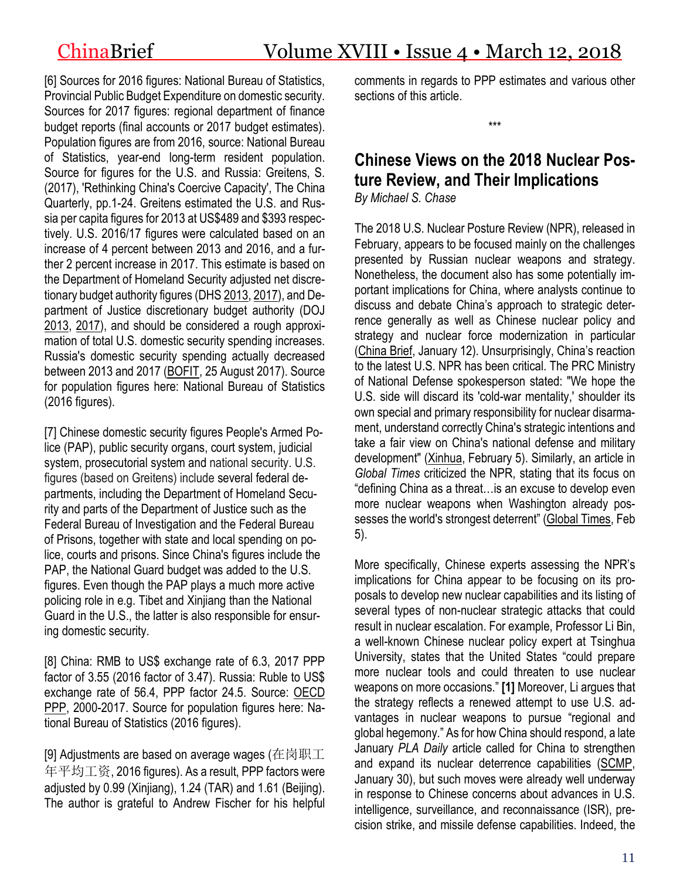[6] Sources for 2016 figures: National Bureau of Statistics, Provincial Public Budget Expenditure on domestic security. Sources for 2017 figures: regional department of finance budget reports (final accounts or 2017 budget estimates). Population figures are from 2016, source: National Bureau of Statistics, year-end long-term resident population. Source for figures for the U.S. and Russia: Greitens, S. (2017), 'Rethinking China's Coercive Capacity', The China Quarterly, pp.1-24. Greitens estimated the U.S. and Russia per capita figures for 2013 at US\$489 and \$393 respectively. U.S. 2016/17 figures were calculated based on an increase of 4 percent between 2013 and 2016, and a further 2 percent increase in 2017. This estimate is based on the Department of Homeland Security adjusted net discretionary budget authority figures (DHS [2013,](https://www.dhs.gov/sites/default/files/publications/dhs-budget-in-brief-fy2013.pdf) [2017\)](https://www.dhs.gov/sites/default/files/publications/FY2017_BIB-MASTER.pdf), and Department of Justice discretionary budget authority (DOJ [2013,](https://www.justice.gov/sites/default/files/jmd/legacy/2014/08/25/fy13-bud-summary-request-performance.pdf) [2017\)](https://www.justice.gov/jmd/file/821916/download), and should be considered a rough approximation of total U.S. domestic security spending increases. Russia's domestic security spending actually decreased between 2013 and 2017 [\(BOFIT,](https://www.bofit.fi/en/monitoring/weekly/2017/vw201734_2/) 25 August 2017). Source for population figures here: National Bureau of Statistics (2016 figures).

[7] Chinese domestic security figures People's Armed Police (PAP), public security organs, court system, judicial system, prosecutorial system and national security. U.S. figures (based on Greitens) include several federal departments, including the Department of Homeland Security and parts of the Department of Justice such as the Federal Bureau of Investigation and the Federal Bureau of Prisons, together with state and local spending on police, courts and prisons. Since China's figures include the PAP, the National Guard budget was added to the U.S. figures. Even though the PAP plays a much more active policing role in e.g. Tibet and Xinjiang than the National Guard in the U.S., the latter is also responsible for ensuring domestic security.

[8] China: RMB to US\$ exchange rate of 6.3, 2017 PPP factor of 3.55 (2016 factor of 3.47). Russia: Ruble to US\$ exchange rate of 56.4, PPP factor 24.5. Source: [OECD](https://data.oecd.org/conversion/purchasing-power-parities-ppp.htm) [PPP,](https://data.oecd.org/conversion/purchasing-power-parities-ppp.htm) 2000-2017. Source for population figures here: National Bureau of Statistics (2016 figures).

[9] Adjustments are based on average wages (在岗职工 年平均工资, 2016 figures). As a result, PPP factors were adjusted by 0.99 (Xinjiang), 1.24 (TAR) and 1.61 (Beijing). The author is grateful to Andrew Fischer for his helpful comments in regards to PPP estimates and various other sections of this article.

\*\*\*

# **Chinese Views on the 2018 Nuclear Posture Review, and Their Implications** *By Michael S. Chase*

The 2018 U.S. Nuclear Posture Review (NPR), released in February, appears to be focused mainly on the challenges presented by Russian nuclear weapons and strategy. Nonetheless, the document also has some potentially important implications for China, where analysts continue to discuss and debate China's approach to strategic deterrence generally as well as Chinese nuclear policy and strategy and nuclear force modernization in particular [\(China](https://jamestown.org/program/chinas-evolving-nuclear-strategy-will-china-drop-no-first-use) Brief, January 12). Unsurprisingly, China's reaction to the latest U.S. NPR has been critical. The PRC Ministry of National Defense spokesperson stated: "We hope the U.S. side will discard its 'cold-war mentality,' shoulder its own special and primary responsibility for nuclear disarmament, understand correctly China's strategic intentions and take a fair view on China's national defense and military development" [\(Xinhua,](http://en.people.cn/n3/2018/0205/c90000-9423510.html) February 5). Similarly, an article in *Global Times* criticized the NPR, stating that its focus on "defining China as a threat…is an excuse to develop even more nuclear weapons when Washington already possesses the world's strongest deterrent" [\(Global](http://eng.chinamil.com.cn/view/2018-02/05/content_7932101.htm) Times, Feb 5).

More specifically, Chinese experts assessing the NPR's implications for China appear to be focusing on its proposals to develop new nuclear capabilities and its listing of several types of non-nuclear strategic attacks that could result in nuclear escalation. For example, Professor Li Bin, a well-known Chinese nuclear policy expert at Tsinghua University, states that the United States "could prepare more nuclear tools and could threaten to use nuclear weapons on more occasions." **[1]** Moreover, Li argues that the strategy reflects a renewed attempt to use U.S. advantages in nuclear weapons to pursue "regional and global hegemony." As for how China should respond, a late January *PLA Daily* article called for China to strengthen and expand its nuclear deterrence capabilities [\(SCMP,](http://www.scmp.com/news/china/diplomacy-defence/article/2131261/china-needs-more-nuclear-warheads-deter-us-threat) January 30), but such moves were already well underway in response to Chinese concerns about advances in U.S. intelligence, surveillance, and reconnaissance (ISR), precision strike, and missile defense capabilities. Indeed, the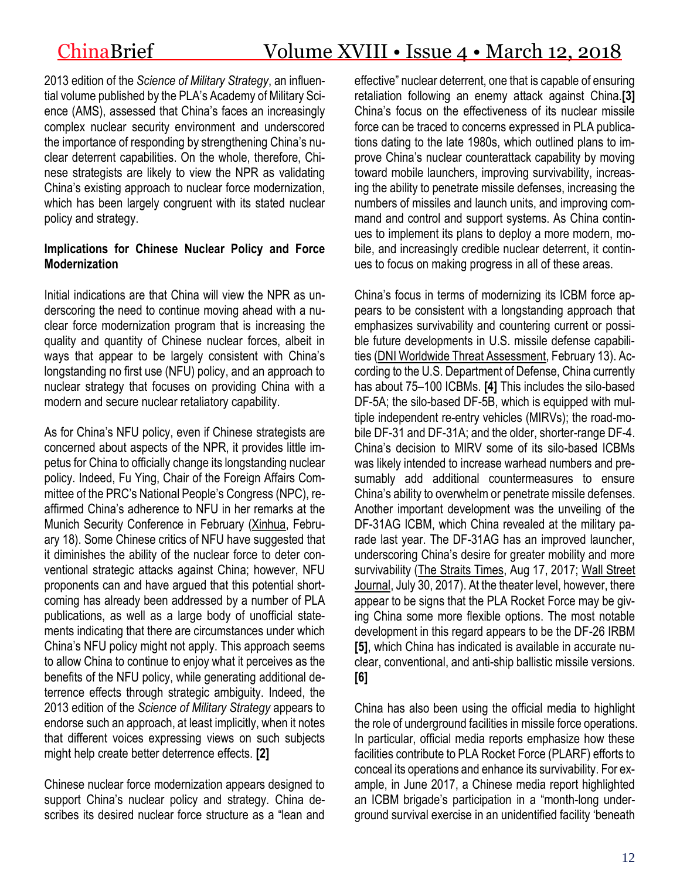2013 edition of the *Science of Military Strategy*, an influential volume published by the PLA's Academy of Military Science (AMS), assessed that China's faces an increasingly complex nuclear security environment and underscored the importance of responding by strengthening China's nuclear deterrent capabilities. On the whole, therefore, Chinese strategists are likely to view the NPR as validating China's existing approach to nuclear force modernization, which has been largely congruent with its stated nuclear policy and strategy.

### **Implications for Chinese Nuclear Policy and Force Modernization**

Initial indications are that China will view the NPR as underscoring the need to continue moving ahead with a nuclear force modernization program that is increasing the quality and quantity of Chinese nuclear forces, albeit in ways that appear to be largely consistent with China's longstanding no first use (NFU) policy, and an approach to nuclear strategy that focuses on providing China with a modern and secure nuclear retaliatory capability.

As for China's NFU policy, even if Chinese strategists are concerned about aspects of the NPR, it provides little impetus for China to officially change its longstanding nuclear policy. Indeed, Fu Ying, Chair of the Foreign Affairs Committee of the PRC's National People's Congress (NPC), reaffirmed China's adherence to NFU in her remarks at the Munich Security Conference in February [\(Xinhua,](https://news.cgtn.com/news/7849444d34677a6333566d54/share_p.html) February 18). Some Chinese critics of NFU have suggested that it diminishes the ability of the nuclear force to deter conventional strategic attacks against China; however, NFU proponents can and have argued that this potential shortcoming has already been addressed by a number of PLA publications, as well as a large body of unofficial statements indicating that there are circumstances under which China's NFU policy might not apply. This approach seems to allow China to continue to enjoy what it perceives as the benefits of the NFU policy, while generating additional deterrence effects through strategic ambiguity. Indeed, the 2013 edition of the *Science of Military Strategy* appears to endorse such an approach, at least implicitly, when it notes that different voices expressing views on such subjects might help create better deterrence effects. **[2]**

Chinese nuclear force modernization appears designed to support China's nuclear policy and strategy. China describes its desired nuclear force structure as a "lean and effective" nuclear deterrent, one that is capable of ensuring retaliation following an enemy attack against China.**[3]** China's focus on the effectiveness of its nuclear missile force can be traced to concerns expressed in PLA publications dating to the late 1980s, which outlined plans to improve China's nuclear counterattack capability by moving toward mobile launchers, improving survivability, increasing the ability to penetrate missile defenses, increasing the numbers of missiles and launch units, and improving command and control and support systems. As China continues to implement its plans to deploy a more modern, mobile, and increasingly credible nuclear deterrent, it continues to focus on making progress in all of these areas.

China's focus in terms of modernizing its ICBM force appears to be consistent with a longstanding approach that emphasizes survivability and countering current or possible future developments in U.S. missile defense capabilities [\(DNI Worldwide Threat Assessment,](https://www.dni.gov/files/documents/Newsroom/Testimonies/2018-ATA---Unclassified-SSCI.pdf) February 13). According to the U.S. Department of Defense, China currently has about 75–100 ICBMs. **[4]** This includes the silo-based DF-5A; the silo-based DF-5B, which is equipped with multiple independent re-entry vehicles (MIRVs); the road-mobile DF-31 and DF-31A; and the older, shorter-range DF-4. China's decision to MIRV some of its silo-based ICBMs was likely intended to increase warhead numbers and presumably add additional countermeasures to ensure China's ability to overwhelm or penetrate missile defenses. Another important development was the unveiling of the DF-31AG ICBM, which China revealed at the military parade last year. The DF-31AG has an improved launcher, underscoring China's desire for greater mobility and more survivability [\(The Straits Times,](http://www.straitstimes.com/asia/east-asia/new-chinese-missile-df-31ag-a-more-mobile-deterrent) Aug 17, 2017; [Wall Street](https://www.wsj.com/articles/chinas-new-missile-a-warning-to-rivals-abroadand-at-home-1501409739)  [Journal,](https://www.wsj.com/articles/chinas-new-missile-a-warning-to-rivals-abroadand-at-home-1501409739) July 30, 2017). At the theater level, however, there appear to be signs that the PLA Rocket Force may be giving China some more flexible options. The most notable development in this regard appears to be the DF-26 IRBM **[5]**, which China has indicated is available in accurate nuclear, conventional, and anti-ship ballistic missile versions. **[6]**

China has also been using the official media to highlight the role of underground facilities in missile force operations. In particular, official media reports emphasize how these facilities contribute to PLA Rocket Force (PLARF) efforts to conceal its operations and enhance its survivability. For example, in June 2017, a Chinese media report highlighted an ICBM brigade's participation in a "month-long underground survival exercise in an unidentified facility 'beneath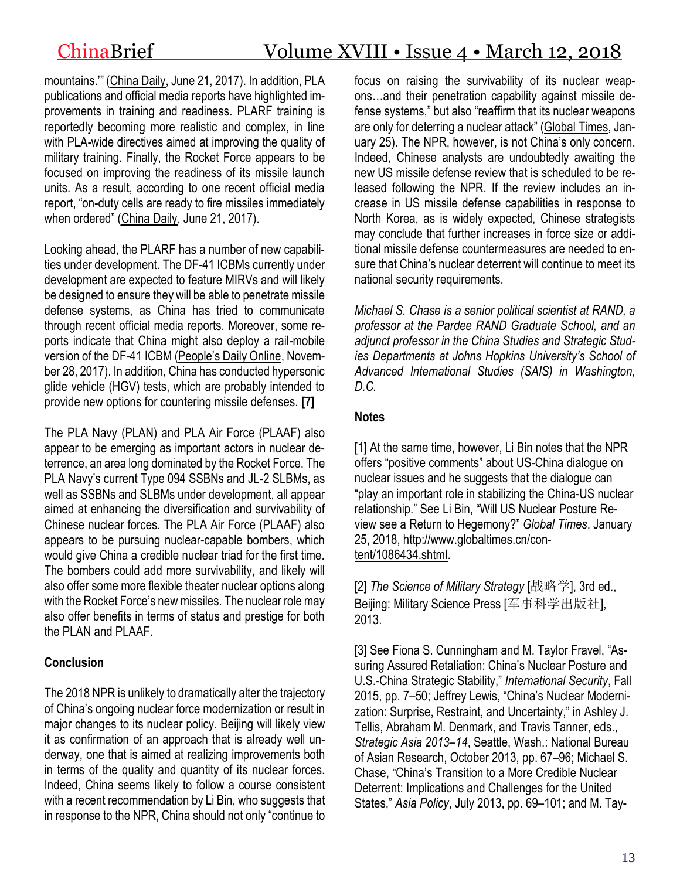mountains.'" ([China Daily,](http://www.chinadaily.com.cn/china/2017-06/21/content_29825134.htm.) June 21, 2017). In addition, PLA publications and official media reports have highlighted improvements in training and readiness. PLARF training is reportedly becoming more realistic and complex, in line with PLA-wide directives aimed at improving the quality of military training. Finally, the Rocket Force appears to be focused on improving the readiness of its missile launch units. As a result, according to one recent official media report, "on-duty cells are ready to fire missiles immediately when ordered" ([China Daily,](http://www.chinadaily.com.cn/china/2017-06/21/content_29825134.htm.) June 21, 2017).

Looking ahead, the PLARF has a number of new capabilities under development. The DF-41 ICBMs currently under development are expected to feature MIRVs and will likely be designed to ensure they will be able to penetrate missile defense systems, as China has tried to communicate through recent official media reports. Moreover, some reports indicate that China might also deploy a rail-mobile version of the DF-41 ICBM ([People's Daily Online](http://en.people.cn/n3/2017/1128/c90000-9297997.html), November 28, 2017). In addition, China has conducted hypersonic glide vehicle (HGV) tests, which are probably intended to provide new options for countering missile defenses. **[7]**

The PLA Navy (PLAN) and PLA Air Force (PLAAF) also appear to be emerging as important actors in nuclear deterrence, an area long dominated by the Rocket Force. The PLA Navy's current Type 094 SSBNs and JL-2 SLBMs, as well as SSBNs and SLBMs under development, all appear aimed at enhancing the diversification and survivability of Chinese nuclear forces. The PLA Air Force (PLAAF) also appears to be pursuing nuclear-capable bombers, which would give China a credible nuclear triad for the first time. The bombers could add more survivability, and likely will also offer some more flexible theater nuclear options along with the Rocket Force's new missiles. The nuclear role may also offer benefits in terms of status and prestige for both the PLAN and PLAAF.

## **Conclusion**

The 2018 NPR is unlikely to dramatically alter the trajectory of China's ongoing nuclear force modernization or result in major changes to its nuclear policy. Beijing will likely view it as confirmation of an approach that is already well underway, one that is aimed at realizing improvements both in terms of the quality and quantity of its nuclear forces. Indeed, China seems likely to follow a course consistent with a recent recommendation by Li Bin, who suggests that in response to the NPR, China should not only "continue to focus on raising the survivability of its nuclear weapons…and their penetration capability against missile defense systems," but also "reaffirm that its nuclear weapons are only for deterring a nuclear attack" [\(Global](http://www.globaltimes.cn/content/1086434.shtml) Times, January 25). The NPR, however, is not China's only concern. Indeed, Chinese analysts are undoubtedly awaiting the new US missile defense review that is scheduled to be released following the NPR. If the review includes an increase in US missile defense capabilities in response to North Korea, as is widely expected, Chinese strategists may conclude that further increases in force size or additional missile defense countermeasures are needed to ensure that China's nuclear deterrent will continue to meet its national security requirements.

*Michael S. Chase is a senior political scientist at RAND, a professor at the Pardee RAND Graduate School, and an adjunct professor in the China Studies and Strategic Studies Departments at Johns Hopkins University's School of Advanced International Studies (SAIS) in Washington, D.C.*

## **Notes**

[1] At the same time, however, Li Bin notes that the NPR offers "positive comments" about US-China dialogue on nuclear issues and he suggests that the dialogue can "play an important role in stabilizing the China-US nuclear relationship." See Li Bin, "Will US Nuclear Posture Review see a Return to Hegemony?" *Global Times*, January 25, 2018, [http://www.globaltimes.cn/con](http://www.globaltimes.cn/content/1086434.shtml)[tent/1086434.shtml.](http://www.globaltimes.cn/content/1086434.shtml)

[2] *The Science of Military Strategy* [战略学], 3rd ed., Beijing: Military Science Press [军事科学出版社], 2013.

[3] See Fiona S. Cunningham and M. Taylor Fravel, "Assuring Assured Retaliation: China's Nuclear Posture and U.S.-China Strategic Stability," *International Security*, Fall 2015, pp. 7–50; Jeffrey Lewis, "China's Nuclear Modernization: Surprise, Restraint, and Uncertainty," in Ashley J. Tellis, Abraham M. Denmark, and Travis Tanner, eds., *Strategic Asia 2013–14*, Seattle, Wash.: National Bureau of Asian Research, October 2013, pp. 67–96; Michael S. Chase, "China's Transition to a More Credible Nuclear Deterrent: Implications and Challenges for the United States," *Asia Policy*, July 2013, pp. 69–101; and M. Tay-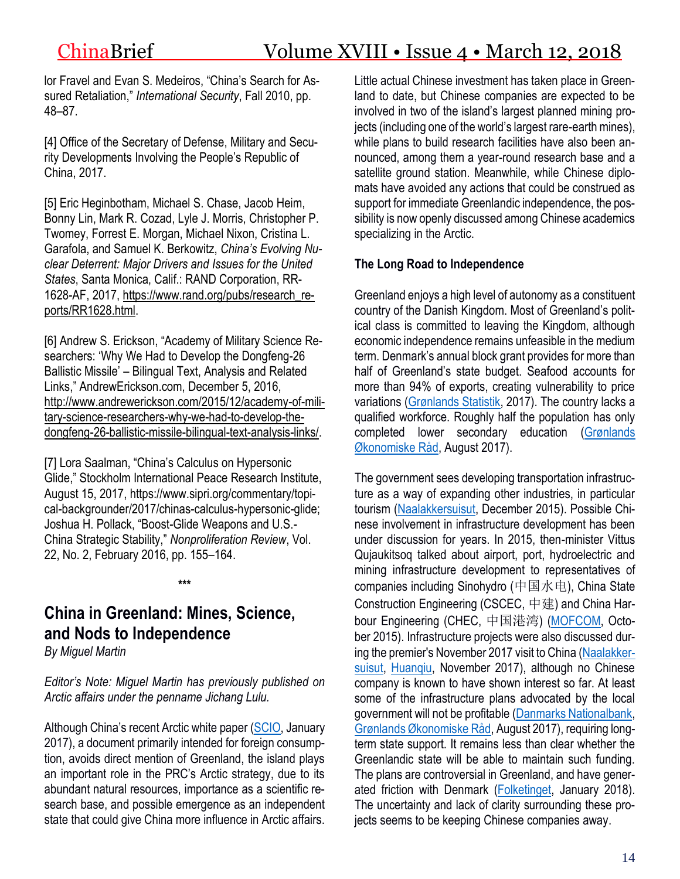lor Fravel and Evan S. Medeiros, "China's Search for Assured Retaliation," *International Security*, Fall 2010, pp. 48–87.

[4] Office of the Secretary of Defense, Military and Security Developments Involving the People's Republic of China, 2017.

[5] Eric Heginbotham, Michael S. Chase, Jacob Heim, Bonny Lin, Mark R. Cozad, Lyle J. Morris, Christopher P. Twomey, Forrest E. Morgan, Michael Nixon, Cristina L. Garafola, and Samuel K. Berkowitz, *China's Evolving Nuclear Deterrent: Major Drivers and Issues for the United States*, Santa Monica, Calif.: RAND Corporation, RR-1628-AF, 2017, [https://www.rand.org/pubs/research\\_re](https://www.rand.org/pubs/research_reports/RR1628.html)[ports/RR1628.html.](https://www.rand.org/pubs/research_reports/RR1628.html)

[6] Andrew S. Erickson, "Academy of Military Science Researchers: 'Why We Had to Develop the Dongfeng-26 Ballistic Missile' – Bilingual Text, Analysis and Related Links," AndrewErickson.com, December 5, 2016, [http://www.andrewerickson.com/2015/12/academy-of-mili](http://www.andrewerickson.com/2015/12/academy-of-military-science-researchers-why-we-had-to-develop-the-dongfeng-26-ballistic-missile-bilingual-text-analysis-links/)[tary-science-researchers-why-we-had-to-develop-the](http://www.andrewerickson.com/2015/12/academy-of-military-science-researchers-why-we-had-to-develop-the-dongfeng-26-ballistic-missile-bilingual-text-analysis-links/)[dongfeng-26-ballistic-missile-bilingual-text-analysis-links/.](http://www.andrewerickson.com/2015/12/academy-of-military-science-researchers-why-we-had-to-develop-the-dongfeng-26-ballistic-missile-bilingual-text-analysis-links/)

[7] Lora Saalman, "China's Calculus on Hypersonic Glide," Stockholm International Peace Research Institute, August 15, 2017, https://www.sipri.org/commentary/topical-backgrounder/2017/chinas-calculus-hypersonic-glide; Joshua H. Pollack, "Boost-Glide Weapons and U.S.- China Strategic Stability," *Nonproliferation Review*, Vol. 22, No. 2, February 2016, pp. 155–164.

**\*\*\***

# **China in Greenland: Mines, Science, and Nods to Independence**

*By Miguel Martin*

*Editor's Note: Miguel Martin has previously published on Arctic affairs under the penname Jichang Lulu.*

Although China's recent Arctic white paper [\(SCIO,](http://www.scio.gov.cn/zfbps/32832/Document/1618203/1618203.htm) January 2017), a document primarily intended for foreign consumption, avoids direct mention of Greenland, the island plays an important role in the PRC's Arctic strategy, due to its abundant natural resources, importance as a scientific research base, and possible emergence as an independent state that could give China more influence in Arctic affairs. Little actual Chinese investment has taken place in Greenland to date, but Chinese companies are expected to be involved in two of the island's largest planned mining projects (including one of the world's largest rare-earth mines), while plans to build research facilities have also been announced, among them a year-round research base and a satellite ground station. Meanwhile, while Chinese diplomats have avoided any actions that could be construed as support for immediate Greenlandic independence, the possibility is now openly discussed among Chinese academics specializing in the Arctic.

# **The Long Road to Independence**

Greenland enjoys a high level of autonomy as a constituent country of the Danish Kingdom. Most of Greenland's political class is committed to leaving the Kingdom, although economic independence remains unfeasible in the medium term. Denmark's annual block grant provides for more than half of Greenland's state budget. Seafood accounts for more than 94% of exports, creating vulnerability to price variations [\(Grønlands Statistik,](http://www.stat.gl/dialog/topmain.asp?lang=da&sc=SA) 2017). The country lacks a qualified workforce. Roughly half the population has only completed lower secondary education [\(Grønlands](http://naalakkersuisut.gl/~/media/Nanoq/Files/Attached%20Files/Finans/DK/Oekonomisk%20raad/G%C3%98R%202017%20rapport%20DK.pdf)  [Økonomiske Råd,](http://naalakkersuisut.gl/~/media/Nanoq/Files/Attached%20Files/Finans/DK/Oekonomisk%20raad/G%C3%98R%202017%20rapport%20DK.pdf) August 2017).

The government sees developing transportation infrastructure as a way of expanding other industries, in particular tourism [\(Naalakkersuisut,](http://naalakkersuisut.gl/~/media/Nanoq/Files/Attached%20Files/Finans/DK/Aftaler/Aftale%20-%20officiel%20DK.pdf) December 2015). Possible Chinese involvement in infrastructure development has been under discussion for years. In 2015, then-minister Vittus Qujaukitsoq talked about airport, port, hydroelectric and mining infrastructure development to representatives of companies including Sinohydro (中国水电), China State Construction Engineering (CSCEC, 中建) and China Har-bour Engineering (CHEC, 中国港湾) [\(MOFCOM,](http://shfw.mofcom.gov.cn/article/shdt/201510/20151001151442.shtml) October 2015). Infrastructure projects were also discussed during the premier's November 2017 visit to China [\(Naalakker](http://naalakkersuisut.gl/da/Naalakkersuisut/Nyheder/2017/11/0111_kim)[suisut,](http://naalakkersuisut.gl/da/Naalakkersuisut/Nyheder/2017/11/0111_kim) [Huanqiu,](http://world.huanqiu.com/exclusive/2017-11/11347913.html) November 2017), although no Chinese company is known to have shown interest so far. At least some of the infrastructure plans advocated by the local government will not be profitable [\(Danmarks Nationalbank,](https://www.nationalbanken.dk/da/publikationer/Documents/2017/08/Analyse_Gr%C3%B8nland%20udfordret%20trods%20st%C3%A6rkt%20fiskeri.pdf) [Grønlands Økonomiske Råd,](http://naalakkersuisut.gl/~/media/Nanoq/Files/Attached%20Files/Finans/DK/Oekonomisk%20raad/G%C3%98R%202017%20rapport%20DK.pdf) August 2017), requiring longterm state support. It remains less than clear whether the Greenlandic state will be able to maintain such funding. The plans are controversial in Greenland, and have generated friction with Denmark [\(Folketinget,](https://mobiltv.ft.dk/video/20171/salen/47) January 2018). The uncertainty and lack of clarity surrounding these projects seems to be keeping Chinese companies away.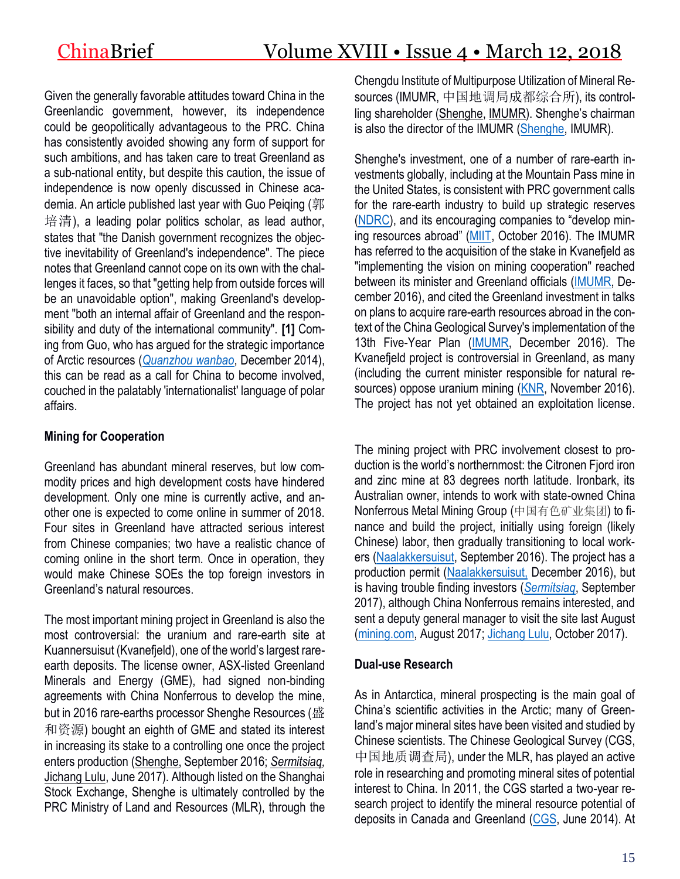Given the generally favorable attitudes toward China in the Greenlandic government, however, its independence could be geopolitically advantageous to the PRC. China has consistently avoided showing any form of support for such ambitions, and has taken care to treat Greenland as a sub-national entity, but despite this caution, the issue of independence is now openly discussed in Chinese academia. An article published last year with Guo Peiging (郭 培清), a leading polar politics scholar, as lead author, states that "the Danish government recognizes the objective inevitability of Greenland's independence". The piece notes that Greenland cannot cope on its own with the challenges it faces, so that "getting help from outside forces will be an unavoidable option", making Greenland's development "both an internal affair of Greenland and the responsibility and duty of the international community". **[1]** Coming from Guo, who has argued for the strategic importance of Arctic resources (*[Quanzhou wanbao](http://study.ccln.gov.cn/fenke/junshixue/jsss/jsjssp/141815.shtml)*, December 2014), this can be read as a call for China to become involved, couched in the palatably 'internationalist' language of polar affairs.

## **Mining for Cooperation**

Greenland has abundant mineral reserves, but low commodity prices and high development costs have hindered development. Only one mine is currently active, and another one is expected to come online in summer of 2018. Four sites in Greenland have attracted serious interest from Chinese companies; two have a realistic chance of coming online in the short term. Once in operation, they would make Chinese SOEs the top foreign investors in Greenland's natural resources.

The most important mining project in Greenland is also the most controversial: the uranium and rare-earth site at Kuannersuisut (Kvanefjeld), one of the world's largest rareearth deposits. The license owner, ASX-listed Greenland Minerals and Energy (GME), had signed non-binding agreements with China Nonferrous to develop the mine, but in 2016 rare-earths processor Shenghe Resources (盛 和资源) bought an eighth of GME and stated its interest in increasing its stake to a controlling one once the project enters production [\(Shenghe,](http://www.sse.com.cn/disclosure/listedinfo/announcement/c/2016-09-23/600392_20160923_1.pdf) September 2016; *[Sermitsiaq,](http://sermitsiaq.ag/shenghe-fortsat-interesseret-i-overtage-kuannersuit)* [Jichang Lulu,](https://jichanglulu.wordpress.com/2017/06/14/greenland-govt-allowed-to-review-uranium-project-agreement-confirms-shenghe-intent-to-buy-controlling-stake/) June 2017). Although listed on the Shanghai Stock Exchange, Shenghe is ultimately controlled by the PRC Ministry of Land and Resources (MLR), through the Chengdu Institute of Multipurpose Utilization of Mineral Resources (IMUMR, 中国地调局成都综合所), its controlling shareholder [\(Shenghe,](http://www.scshre.com/index.php?catid=21) [IMUMR](http://www.imumr.cgs.gov.cn/dwgk/dwjj/)). Shenghe's chairman is also the director of the IMUMR [\(Shenghe,](http://www.scshre.com/index.php?catid=22) IMUMR).

Shenghe's investment, one of a number of rare-earth investments globally, including at the Mountain Pass mine in the United States, is consistent with PRC government calls for the rare-earth industry to build up strategic reserves [\(NDRC](http://ghs.ndrc.gov.cn/ghwb/gjjgh/201705/t20170511_847172.html)), and its encouraging companies to "develop mining resources abroad" [\(MIIT,](http://www.miit.gov.cn/n1146295/n1652858/n1652930/n3757017/c5287765/content.html) October 2016). The IMUMR has referred to the acquisition of the stake in Kvanefjeld as "implementing the vision on mining cooperation" reached between its minister and Greenland officials [\(IMUMR,](http://www.imumr.cgs.gov.cn/tgl_5683/201612/t20161212_419218.html) December 2016), and cited the Greenland investment in talks on plans to acquire rare-earth resources abroad in the context of the China Geological Survey's implementation of the 13th Five-Year Plan [\(IMUMR,](http://www.imumr.cgs.gov.cn/xwdt/dwdt/201612/t20161205_418387.html) December 2016). The Kvanefjeld project is controversial in Greenland, as many (including the current minister responsible for natural re-sources) oppose uranium mining [\(KNR,](https://knr.gl/da/nyheder/optimisme-hos-uranmodstandere) November 2016). The project has not yet obtained an exploitation license.

The mining project with PRC involvement closest to production is the world's northernmost: the Citronen Fjord iron and zinc mine at 83 degrees north latitude. Ironbark, its Australian owner, intends to work with state-owned China Nonferrous Metal Mining Group (中国有色矿业集团) to finance and build the project, initially using foreign (likely Chinese) labor, then gradually transitioning to local workers [\(Naalakkersuisut,](http://naalakkersuisut.gl/en/Naalakkersuisut/News/2016/09/230916-IBA_Ironbark) September 2016). The project has a production permit [\(Naalakkersuisut,](http://naalakkersuisut.gl/~/media/Nanoq/Files/Attached%20Files/Raastof/201630%20Exploitation%20Licence%20Ironbark%20AS%20website.pdf) December 2016), but is having trouble finding investors (*[Sermitsiaq](http://sermitsiaq.ag/ironbark-kaemper-finde-investorer-trods-hoeje-zinkpriser)*, September 2017), although China Nonferrous remains interested, and sent a deputy general manager to visit the site last August [\(mining.com,](http://www.mining.com/zinc-project-greenland-receives-chinese-backing/) August 2017; [Jichang Lulu,](https://jichanglulu.wordpress.com/2017/10/14/china-wants-greenland-station-asap-one-candidate-site-near-planned-china-nonferrous-investment/) October 2017).

#### **Dual-use Research**

As in Antarctica, mineral prospecting is the main goal of China's scientific activities in the Arctic; many of Greenland's major mineral sites have been visited and studied by Chinese scientists. The Chinese Geological Survey (CGS, 中国地质调查局), under the MLR, has played an active role in researching and promoting mineral sites of potential interest to China. In 2011, the CGS started a two-year research project to identify the mineral resource potential of deposits in Canada and Greenland [\(CGS,](https://webcache.googleusercontent.com/search?q=cache:XNrlH8uJnwwJ:www.cags.ac.cn/YWJX/2014/0630-2.html+&cd=1&hl=nl&ct=clnk&gl=no) June 2014). At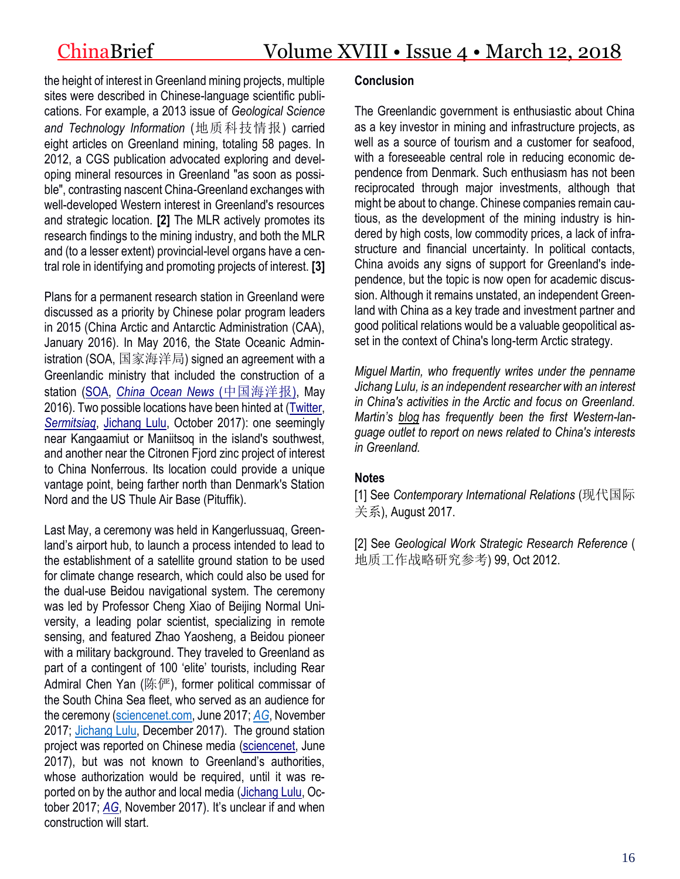the height of interest in Greenland mining projects, multiple sites were described in Chinese-language scientific publications. For example, a 2013 issue of *Geological Science and Technology Information* (地质科技情报) carried eight articles on Greenland mining, totaling 58 pages. In 2012, a CGS publication advocated exploring and developing mineral resources in Greenland "as soon as possible", contrasting nascent China-Greenland exchanges with well-developed Western interest in Greenland's resources and strategic location. **[2]** The MLR actively promotes its research findings to the mining industry, and both the MLR and (to a lesser extent) provincial-level organs have a central role in identifying and promoting projects of interest. **[3]**

Plans for a permanent research station in Greenland were discussed as a priority by Chinese polar program leaders in 2015 (China Arctic and Antarctic Administration (CAA), January 2016). In May 2016, the State Oceanic Administration (SOA, 国家海洋局) signed an agreement with a Greenlandic ministry that included the construction of a station [\(SOA,](http://ns.soa.gov.cn/xw/hyyw_90/201605/t20160516_51667.html) *[China Ocean News](http://epaper.oceanol.com/shtml/zghyb/20160517/39635.shtml)* (中国海洋报), May 2016). Two possible locations have been hinted at [\(Twitter,](https://twitter.com/Breum_Martin/status/919123550979739648) *[Sermitsiaq](http://sermitsiaq.ag/kina-afsloerer-bygge-forskningsstation-i-groenland)*, [Jichang Lulu,](https://jichanglulu.wordpress.com/2017/10/14/china-wants-greenland-station-asap-one-candidate-site-near-planned-china-nonferrous-investment/comment-page-1/) October 2017): one seemingly near Kangaamiut or Maniitsoq in the island's southwest, and another near the Citronen Fjord zinc project of interest to China Nonferrous. Its location could provide a unique vantage point, being farther north than Denmark's Station Nord and the US Thule Air Base (Pituffik).

Last May, a ceremony was held in Kangerlussuaq, Greenland's airport hub, to launch a process intended to lead to the establishment of a satellite ground station to be used for climate change research, which could also be used for the dual-use Beidou navigational system. The ceremony was led by Professor Cheng Xiao of Beijing Normal University, a leading polar scientist, specializing in remote sensing, and featured Zhao Yaosheng, a Beidou pioneer with a military background. They traveled to Greenland as part of a contingent of 100 'elite' tourists, including Rear Admiral Chen Yan (陈俨), former political commissar of the South China Sea fleet, who served as an audience for the ceremony [\(sciencenet.com,](http://news.sciencenet.cn/htmlnews/2017/6/378159.shtm) June 2017; *[AG](http://sermitsiaq.ag/nyt-kinesisk-satellitprojekt-koerer-radaren)*, November 2017; [Jichang Lulu,](https://jichanglulu.wordpress.com/2017/12/14/greenland-satellite/) December 2017). The ground station project was reported on Chinese media [\(sciencenet,](http://news.sciencenet.cn/htmlnews/2017/6/378159.shtm) June 2017), but was not known to Greenland's authorities, whose authorization would be required, until it was reported on by the author and local media [\(Jichang Lulu,](https://jichanglulu.wordpress.com/2017/10/14/china-wants-greenland-station-asap-one-candidate-site-near-planned-china-nonferrous-investment/) October 2017; *[AG](http://sermitsiaq.ag/nyt-kinesisk-satellitprojekt-koerer-radaren)*, November 2017). It's unclear if and when construction will start.

#### **Conclusion**

The Greenlandic government is enthusiastic about China as a key investor in mining and infrastructure projects, as well as a source of tourism and a customer for seafood, with a foreseeable central role in reducing economic dependence from Denmark. Such enthusiasm has not been reciprocated through major investments, although that might be about to change. Chinese companies remain cautious, as the development of the mining industry is hindered by high costs, low commodity prices, a lack of infrastructure and financial uncertainty. In political contacts, China avoids any signs of support for Greenland's independence, but the topic is now open for academic discussion. Although it remains unstated, an independent Greenland with China as a key trade and investment partner and good political relations would be a valuable geopolitical asset in the context of China's long-term Arctic strategy.

*Miguel Martin, who frequently writes under the penname Jichang Lulu, is an independent researcher with an interest in China's activities in the Arctic and focus on Greenland. Martin's [blog](https://jichanglulu.wordpress.com/) has frequently been the first Western-language outlet to report on news related to China's interests in Greenland.*

#### **Notes**

[1] See *Contemporary International Relations* (现代国际 关系), August 2017.

[2] See *Geological Work Strategic Research Reference* ( 地质工作战略研究参考) 99, Oct 2012.